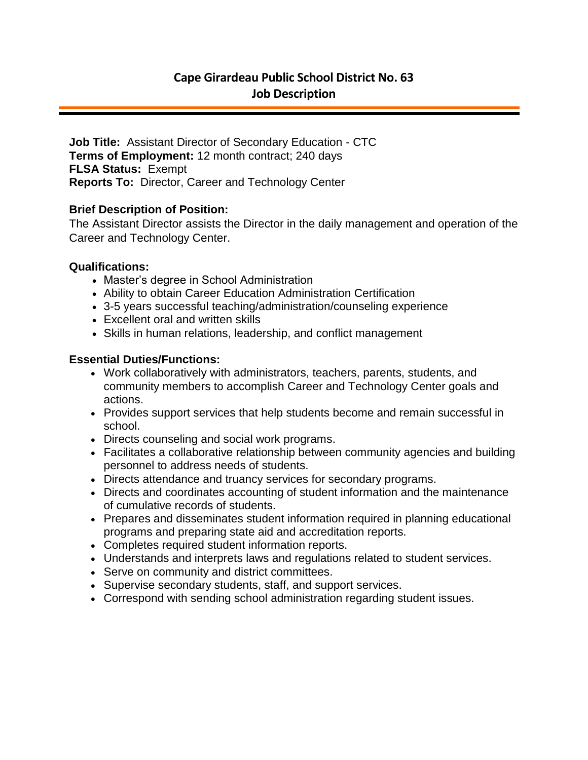**Job Title:** Assistant Director of Secondary Education - CTC **Terms of Employment:** 12 month contract; 240 days **FLSA Status:** Exempt **Reports To:** Director, Career and Technology Center

## **Brief Description of Position:**

The Assistant Director assists the Director in the daily management and operation of the Career and Technology Center.

## **Qualifications:**

- Master's degree in School Administration
- Ability to obtain Career Education Administration Certification
- 3-5 years successful teaching/administration/counseling experience
- Excellent oral and written skills
- Skills in human relations, leadership, and conflict management

## **Essential Duties/Functions:**

- Work collaboratively with administrators, teachers, parents, students, and community members to accomplish Career and Technology Center goals and actions.
- Provides support services that help students become and remain successful in school.
- Directs counseling and social work programs.
- Facilitates a collaborative relationship between community agencies and building personnel to address needs of students.
- Directs attendance and truancy services for secondary programs.
- Directs and coordinates accounting of student information and the maintenance of cumulative records of students.
- Prepares and disseminates student information required in planning educational programs and preparing state aid and accreditation reports.
- Completes required student information reports.
- Understands and interprets laws and regulations related to student services.
- Serve on community and district committees.
- Supervise secondary students, staff, and support services.
- Correspond with sending school administration regarding student issues.